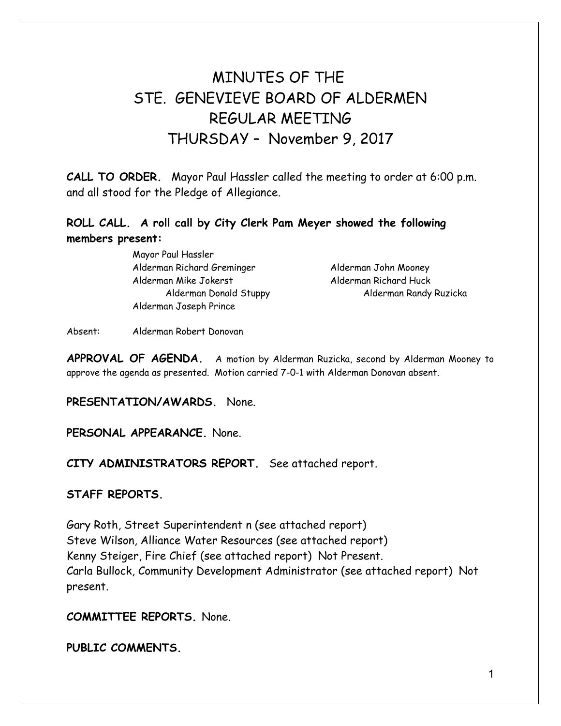# MINUTES OF THE STE. GENEVIEVE BOARD OF ALDERMEN REGULAR MEETING THURSDAY – November 9, 2017

**CALL TO ORDER.** Mayor Paul Hassler called the meeting to order at 6:00 p.m. and all stood for the Pledge of Allegiance.

## **ROLL CALL. A roll call by City Clerk Pam Meyer showed the following members present:**

Mayor Paul Hassler Alderman Richard Greminger Alderman John Mooney Alderman Mike Jokerst Alderman Richard Huck Alderman Joseph Prince

Alderman Donald Stuppy Alderman Randy Ruzicka

Absent: Alderman Robert Donovan

**APPROVAL OF AGENDA.** A motion by Alderman Ruzicka, second by Alderman Mooney to approve the agenda as presented. Motion carried 7-0-1 with Alderman Donovan absent.

### **PRESENTATION/AWARDS.** None.

**PERSONAL APPEARANCE.** None.

**CITY ADMINISTRATORS REPORT.** See attached report.

### **STAFF REPORTS.**

Gary Roth, Street Superintendent n (see attached report) Steve Wilson, Alliance Water Resources (see attached report) Kenny Steiger, Fire Chief (see attached report) Not Present. Carla Bullock, Community Development Administrator (see attached report) Not present.

**COMMITTEE REPORTS.** None.

**PUBLIC COMMENTS.**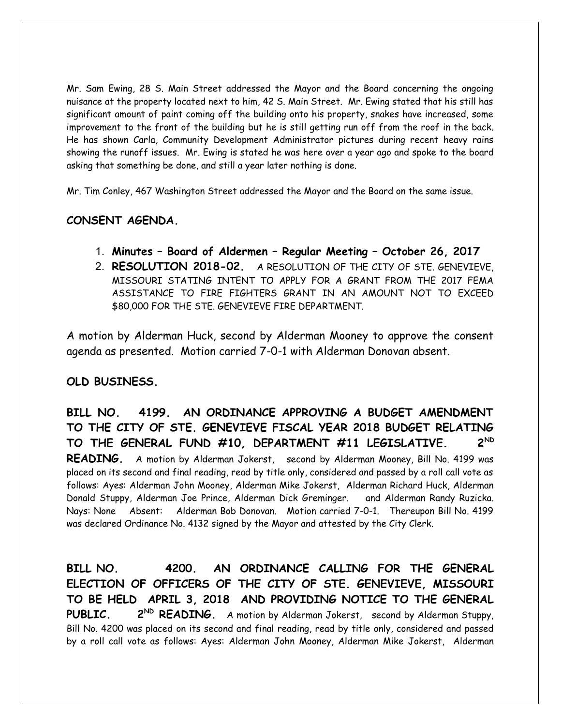Mr. Sam Ewing, 28 S. Main Street addressed the Mayor and the Board concerning the ongoing nuisance at the property located next to him, 42 S. Main Street. Mr. Ewing stated that his still has significant amount of paint coming off the building onto his property, snakes have increased, some improvement to the front of the building but he is still getting run off from the roof in the back. He has shown Carla, Community Development Administrator pictures during recent heavy rains showing the runoff issues. Mr. Ewing is stated he was here over a year ago and spoke to the board asking that something be done, and still a year later nothing is done.

Mr. Tim Conley, 467 Washington Street addressed the Mayor and the Board on the same issue.

## **CONSENT AGENDA.**

- 1. **Minutes Board of Aldermen Regular Meeting October 26, 2017**
- 2. **RESOLUTION 2018-02.** A RESOLUTION OF THE CITY OF STE. GENEVIEVE, MISSOURI STATING INTENT TO APPLY FOR A GRANT FROM THE 2017 FEMA ASSISTANCE TO FIRE FIGHTERS GRANT IN AN AMOUNT NOT TO EXCEED \$80,000 FOR THE STE. GENEVIEVE FIRE DEPARTMENT.

A motion by Alderman Huck, second by Alderman Mooney to approve the consent agenda as presented. Motion carried 7-0-1 with Alderman Donovan absent.

### **OLD BUSINESS.**

**BILL NO. 4199. AN ORDINANCE APPROVING A BUDGET AMENDMENT TO THE CITY OF STE. GENEVIEVE FISCAL YEAR 2018 BUDGET RELATING TO THE GENERAL FUND #10, DEPARTMENT #11 LEGISLATIVE. 2ND READING.** A motion by Alderman Jokerst, second by Alderman Mooney, Bill No. 4199 was placed on its second and final reading, read by title only, considered and passed by a roll call vote as follows: Ayes: Alderman John Mooney, Alderman Mike Jokerst, Alderman Richard Huck, Alderman Donald Stuppy, Alderman Joe Prince, Alderman Dick Greminger. and Alderman Randy Ruzicka. Nays: None Absent: Alderman Bob Donovan. Motion carried 7-0-1. Thereupon Bill No. 4199 was declared Ordinance No. 4132 signed by the Mayor and attested by the City Clerk.

**BILL NO. 4200. AN ORDINANCE CALLING FOR THE GENERAL ELECTION OF OFFICERS OF THE CITY OF STE. GENEVIEVE, MISSOURI TO BE HELD APRIL 3, 2018 AND PROVIDING NOTICE TO THE GENERAL PUBLIC. 2ND READING.** A motion by Alderman Jokerst, second by Alderman Stuppy, Bill No. 4200 was placed on its second and final reading, read by title only, considered and passed by a roll call vote as follows: Ayes: Alderman John Mooney, Alderman Mike Jokerst, Alderman